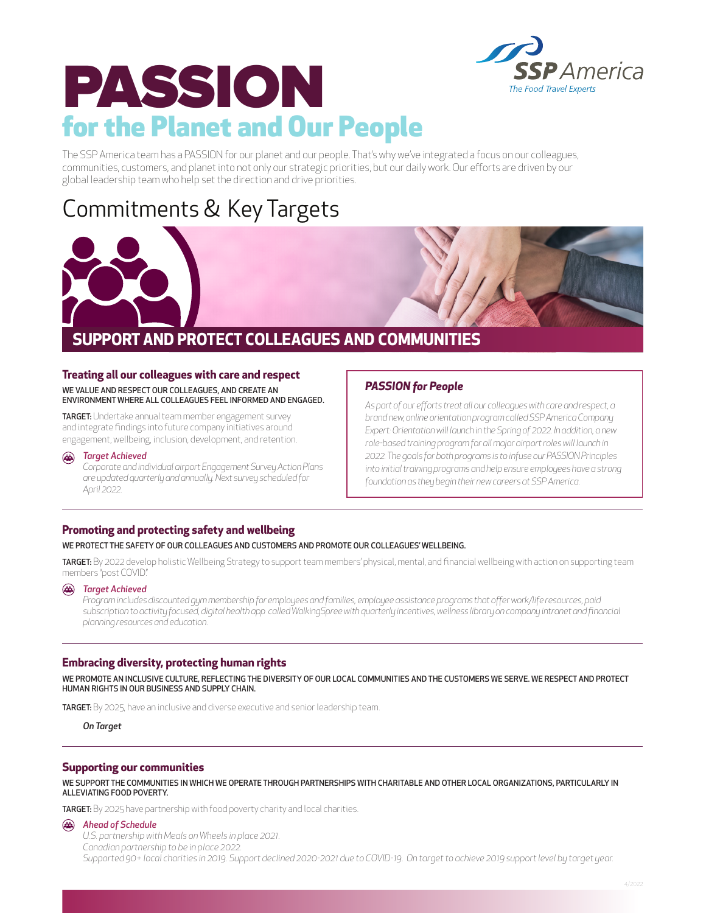

# for the Planet and Our People PASSION

The SSP America team has a PASSION for our planet and our people. That's why we've integrated a focus on our colleagues, communities, customers, and planet into not only our strategic priorities, but our daily work. Our efforts are driven by our global leadership team who help set the direction and drive priorities.

## Commitments & Key Targets



## **SUPPORT AND PROTECT COLLEAGUES AND COMMUNITIES**

#### **Treating all our colleagues with care and respect**

WE VALUE AND RESPECT OUR COLLEAGUES, AND CREATE AN ENVIRONMENT WHERE ALL COLLEAGUES FEEL INFORMED AND ENGAGED.

TARGET: Undertake annual team member engagement survey and integrate findings into future company initiatives around engagement, wellbeing, inclusion, development, and retention.

#### *Target Achieved*

*Corporate and individual airport Engagement Survey Action Plans are updated quarterly and annually. Next survey scheduled for April 2022.* 

### *PASSION for People*

*As part of our efforts treat all our colleagues with care and respect, a brand new, online orientation program called SSP America Company Expert: Orientation will launch in the Spring of 2022. In addition, a new role-based training program for all major airport roles will launch in 2022. The goals for both programs is to infuse our PASSION Principles into initial training programs and help ensure employees have a strong foundation as they begin their new careers at SSP America.*

#### **Promoting and protecting safety and wellbeing**

WE PROTECT THE SAFETY OF OUR COLLEAGUES AND CUSTOMERS AND PROMOTE OUR COLLEAGUES' WELLBEING.

TARGET: By 2022 develop holistic Wellbeing Strategy to support team members' physical, mental, and financial wellbeing with action on supporting team members "post COVID."

#### *Target Achieved*

*Program includes discounted gym membership for employees and families, employee assistance programs that offer work/life resources, paid subscription to activity focused, digital health app called WalkingSpree with quarterly incentives, wellness library on company intranet and financial planning resources and education.*

#### **Embracing diversity, protecting human rights**

WE PROMOTE AN INCLUSIVE CULTURE, REFLECTING THE DIVERSITY OF OUR LOCAL COMMUNITIES AND THE CUSTOMERS WE SERVE. WE RESPECT AND PROTECT HUMAN RIGHTS IN OUR BUSINESS AND SUPPLY CHAIN.

TARGET: By 2025, have an inclusive and diverse executive and senior leadership team.

*On Target*

#### **Supporting our communities**

WE SUPPORT THE COMMUNITIES IN WHICH WE OPERATE THROUGH PARTNERSHIPS WITH CHARITABLE AND OTHER LOCAL ORGANIZATIONS, PARTICULARLY IN ALLEVIATING FOOD POVERTY.

**TARGET:** By 2025 have partnership with food poverty charity and local charities.

#### $\left( \frac{1}{2} \right)$ *Ahead of Schedule*

*U.S. partnership with Meals on Wheels in place 2021. Canadian partnership to be in place 2022. Supported 90+ local charities in 2019. Support declined 2020-2021 due to COVID-19. On target to achieve 2019 support level by target year.*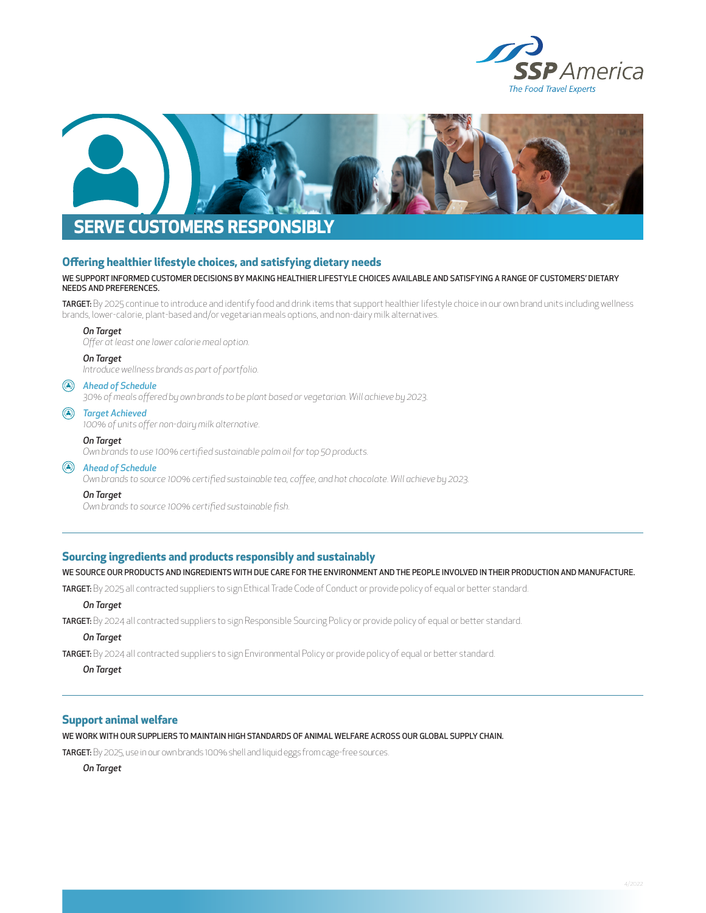



## **SERVE CUSTOMERS RESPONSIBLY**

#### **Offering healthier lifestyle choices, and satisfying dietary needs**

#### WE SUPPORT INFORMED CUSTOMER DECISIONS BY MAKING HEALTHIER LIFESTYLE CHOICES AVAILABLE AND SATISFYING A RANGE OF CUSTOMERS' DIETARY NEEDS AND PREFERENCES.

TARGET: By 2025 continue to introduce and identify food and drink items that support healthier lifestyle choice in our own brand units including wellness brands, lower-calorie, plant-based and/or vegetarian meals options, and non-dairy milk alternatives.

#### *On Target*

*Offer at least one lower calorie meal option.*

#### *On Target*

*Introduce wellness brands as part of portfolio.*

#### *Ahead of Schedule*

*30% of meals offered by own brands to be plant based or vegetarian. Will achieve by 2023.*

*Target Achieved*

*100% of units offer non-dairy milk alternative.*

#### *On Target*

*Own brands to use 100% certified sustainable palm oil for top 50 products.*

#### *Ahead of Schedule*

*Own brands to source 100% certified sustainable tea, coffee, and hot chocolate. Will achieve by 2023.*

#### *On Target*

*Own brands to source 100% certified sustainable fish.*

#### **Sourcing ingredients and products responsibly and sustainably**

WE SOURCE OUR PRODUCTS AND INGREDIENTS WITH DUE CARE FOR THE ENVIRONMENT AND THE PEOPLE INVOLVED IN THEIR PRODUCTION AND MANUFACTURE.

TARGET: By 2025 all contracted suppliers to sign Ethical Trade Code of Conduct or provide policy of equal or better standard.

#### *On Target*

TARGET: By 2024 all contracted suppliers to sign Responsible Sourcing Policy or provide policy of equal or better standard.

#### *On Target*

TARGET: By 2024 all contracted suppliers to sign Environmental Policy or provide policy of equal or better standard.

#### *On Target*

#### **Support animal welfare**

WE WORK WITH OUR SUPPLIERS TO MAINTAIN HIGH STANDARDS OF ANIMAL WELFARE ACROSS OUR GLOBAL SUPPLY CHAIN.

TARGET: By 2025, use in our own brands 100% shell and liquid eggs from cage-free sources.

*On Target*